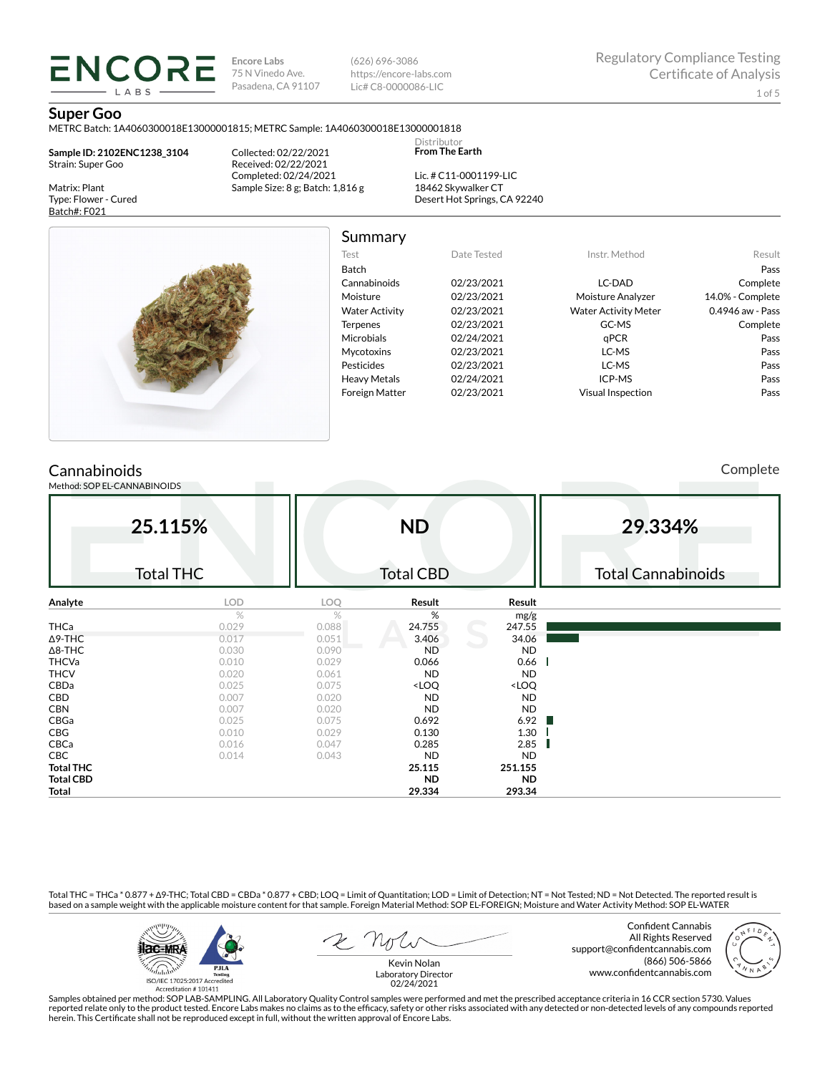**Encore Labs** 75 N Vinedo Ave. Pasadena, CA 91107

(626) 696-3086 https://encore-labs.com Lic# C8-0000086-LIC

Summary

Distributor **From The Earth**

#### **Super Goo**

Matrix: Plant Type: Flower - Cured Batch#: F021

METRC Batch: 1A4060300018E13000001815; METRC Sample: 1A4060300018E13000001818

**Sample ID: 2102ENC1238\_3104** Strain: Super Goo

**ENCORE** LABS

> Collected: 02/22/2021 Received: 02/22/2021 Completed: 02/24/2021 Sample Size: 8 g; Batch: 1,816 g

Lic. # C11-0001199-LIC 18462 Skywalker CT Desert Hot Springs, CA 92240



Test Date Tested Instr. Method Result Batch Pass Cannabinoids 02/23/2021 LC-DAD Complete Moisture 02/23/2021 Moisture Analyzer 14.0% - Complete Water Activity  $02/23/2021$  Water Activity Meter 0.4946 aw - Pass Terpenes 02/23/2021 GC-MS Complete Microbials 02/24/2021 **qPCR** Pass Mycotoxins 02/23/2021 LC-MS Pass Pesticides 02/23/2021 LC-MS Pass Heavy Metals 02/24/2021 ICP-MS Pass Foreign Matter 02/23/2021 Visual Inspection Pass

## **Cannabinoids**

Method: SOP EL-CANNABINOIDS

Complete

| 25.115%          |                  | <b>ND</b> |                                                          |                              | 29.334%                   |  |  |  |
|------------------|------------------|-----------|----------------------------------------------------------|------------------------------|---------------------------|--|--|--|
|                  | <b>Total THC</b> |           | <b>Total CBD</b>                                         |                              | <b>Total Cannabinoids</b> |  |  |  |
| Analyte          | LOD              | LOQ       | Result                                                   | Result                       |                           |  |  |  |
|                  | $\%$             | %         | %                                                        | mg/g                         |                           |  |  |  |
| <b>THCa</b>      | 0.029            | 0.088     | 24.755                                                   | 247.55                       |                           |  |  |  |
| $\Delta$ 9-THC   | 0.017            | 0.051     | 3.406                                                    | 34.06                        |                           |  |  |  |
| $\Delta$ 8-THC   | 0.030            | 0.090     | <b>ND</b>                                                | <b>ND</b>                    |                           |  |  |  |
| <b>THCVa</b>     | 0.010            | 0.029     | 0.066                                                    | 0.66                         |                           |  |  |  |
| <b>THCV</b>      | 0.020            | 0.061     | <b>ND</b>                                                | <b>ND</b>                    |                           |  |  |  |
| CBDa             | 0.025            | 0.075     | <loq< td=""><td><loq< td=""><td></td></loq<></td></loq<> | <loq< td=""><td></td></loq<> |                           |  |  |  |
| CBD              | 0.007            | 0.020     | <b>ND</b>                                                | <b>ND</b>                    |                           |  |  |  |
| <b>CBN</b>       | 0.007            | 0.020     | <b>ND</b>                                                | <b>ND</b>                    |                           |  |  |  |
| CBGa             | 0.025            | 0.075     | 0.692                                                    | 6.92                         |                           |  |  |  |
| CBG              | 0.010            | 0.029     | 0.130                                                    | 1.30                         |                           |  |  |  |
| CBCa             | 0.016            | 0.047     | 0.285                                                    | 2.85                         |                           |  |  |  |
| CBC              | 0.014            | 0.043     | <b>ND</b>                                                | <b>ND</b>                    |                           |  |  |  |
| <b>Total THC</b> |                  |           | 25.115                                                   | 251.155                      |                           |  |  |  |
| <b>Total CBD</b> |                  |           | <b>ND</b>                                                | <b>ND</b>                    |                           |  |  |  |
| Total            |                  |           | 29.334                                                   | 293.34                       |                           |  |  |  |

Total THC = THCa \* 0.877 + ∆9-THC; Total CBD = CBDa \* 0.877 + CBD; LOQ = Limit of Quantitation; LOD = Limit of Detection; NT = Not Tested; ND = Not Detected. The reported result is based on a sample weight with the applicable moisture content for that sample. Foreign Material Method: SOP EL-FOREIGN; Moisture and Water Activity Method: SOP EL-WATER



Confident Cannabis All Rights Reserved support@confidentcannabis.com (866) 506-5866 www.confidentcannabis.com



Kevin Nolan Laboratory Director 02/24/2021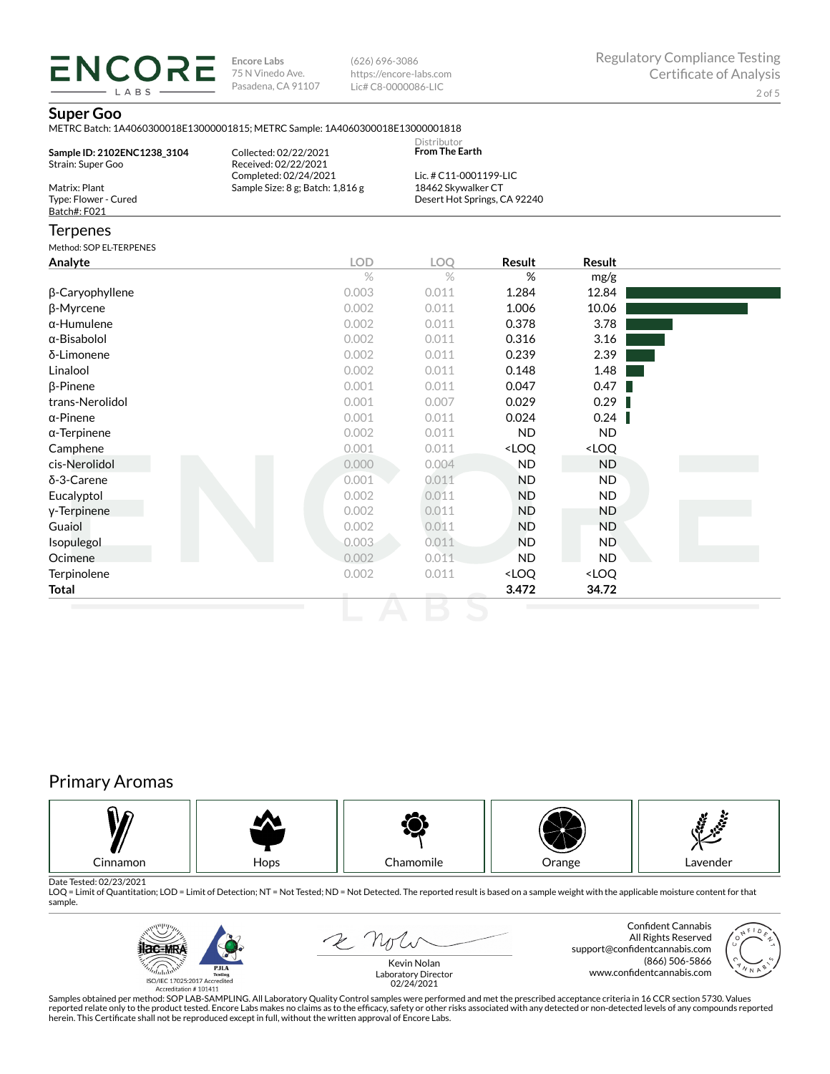**ENCORE Encore Labs** 75 N Vinedo Ave. Pasadena, CA 91107

(626) 696-3086 https://encore-labs.com Lic# C8-0000086-LIC

### **Super Goo**

LABS

|                                                       | METRC Batch: 1A4060300018E13000001815; METRC Sample: 1A4060300018E13000001818 |                                              |                                                          |                              |  |
|-------------------------------------------------------|-------------------------------------------------------------------------------|----------------------------------------------|----------------------------------------------------------|------------------------------|--|
| Sample ID: 2102ENC1238 3104<br>Strain: Super Goo      | Collected: 02/22/2021<br>Received: 02/22/2021                                 | Distributor<br>From The Earth                |                                                          |                              |  |
| Matrix: Plant<br>Type: Flower - Cured<br>Batch#: F021 | Completed: 02/24/2021<br>Sample Size: 8 g; Batch: 1,816 g                     | Lic. # C11-0001199-LIC<br>18462 Skywalker CT | Desert Hot Springs, CA 92240                             |                              |  |
| <b>Terpenes</b>                                       |                                                                               |                                              |                                                          |                              |  |
| Method: SOP EL-TERPENES                               |                                                                               |                                              |                                                          |                              |  |
| Analyte                                               | <b>LOD</b>                                                                    | LOO                                          | Result                                                   | Result                       |  |
|                                                       | $\%$                                                                          | $\%$                                         | %                                                        | mg/g                         |  |
| β-Caryophyllene                                       | 0.003                                                                         | 0.011                                        | 1.284                                                    | 12.84                        |  |
| β-Myrcene                                             | 0.002                                                                         | 0.011                                        | 1.006                                                    | 10.06                        |  |
| $\alpha$ -Humulene                                    | 0.002                                                                         | 0.011                                        | 0.378                                                    | 3.78                         |  |
| $\alpha$ -Bisabolol                                   | 0.002                                                                         | 0.011                                        | 0.316                                                    | 3.16                         |  |
| δ-Limonene                                            | 0.002                                                                         | 0.011                                        | 0.239                                                    | 2.39                         |  |
| Linalool                                              | 0.002                                                                         | 0.011                                        | 0.148                                                    | 1.48                         |  |
| $\beta$ -Pinene                                       | 0.001                                                                         | 0.011                                        | 0.047                                                    | 0.47                         |  |
| trans-Nerolidol                                       | 0.001                                                                         | 0.007                                        | 0.029                                                    | 0.29                         |  |
| $\alpha$ -Pinene                                      | 0.001                                                                         | 0.011                                        | 0.024                                                    | 0.24                         |  |
| $\alpha$ -Terpinene                                   | 0.002                                                                         | 0.011                                        | <b>ND</b>                                                | ND.                          |  |
| Camphene                                              | 0.001                                                                         | 0.011                                        | <loq< td=""><td><loq< td=""><td></td></loq<></td></loq<> | <loq< td=""><td></td></loq<> |  |
| cis-Nerolidol                                         | 0.000                                                                         | 0.004                                        | <b>ND</b>                                                | <b>ND</b>                    |  |

δ-3-Carene 0.001 0.011 ND ND Eucalyptol 0.002 0.011 ND ND γ-Terpinene 0.002 0.011 ND ND Guaiol 0.002 0.011 ND ND Isopulegol 0.003 0.011 ND ND **Ocimene 1996 100 ND ND ND ND ND ND ND** Terpinolene <LOQ <LOQ <LOQ **Total 3.472 34.72**

# Primary Aromas



Date Tested: 02/23/2021<br>LOQ = Limit of Quantitation; LOD = Limit of Detection; NT = Not Tested; ND = Not Detected. The reported result is based on a sample weight with the applicable moisture content for that sample.



R Note

Confident Cannabis All Rights Reserved (866) 506-5866



support@confidentcannabis.com www.confidentcannabis.com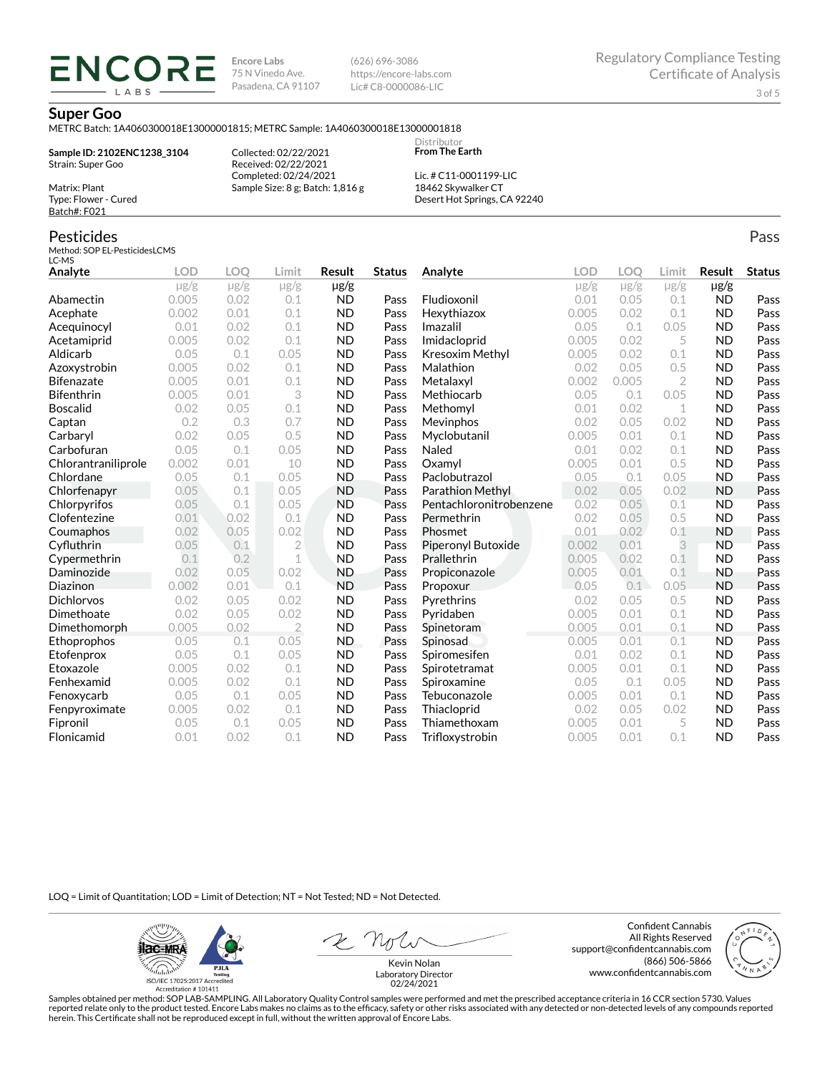**Encore Labs** 75 N Vinedo Ave. Pasadena, CA 91107 (626) 696-3086 https://encore-labs.com Lic# C8-0000086-LIC

#### **Super Goo**

METRC Batch: 1A4060300018E13000001815; METRC Sample: 1A4060300018E13000001818

**Sample ID: 2102ENC1238\_3104** Strain: Super Goo

ENCOR LABS

> Collected: 02/22/2021 Received: 02/22/2021 Completed: 02/24/2021 Sample Size: 8 g; Batch: 1,816 g

Lic. # C11-0001199-LIC 18462 Skywalker CT Desert Hot Springs, CA 92240

Distributor **From The Earth**

## Pesticides

Matrix: Plant Type: Flower - Cured Batch#: F021

Method: SOP EL-PesticidesLCMS LC-MS

| Analyte             | <b>LOD</b> | LOO       | Limit          | Result    | <b>Status</b> | Analyte                 | LOD       | LOO       | Limit          | Result    | <b>Status</b> |
|---------------------|------------|-----------|----------------|-----------|---------------|-------------------------|-----------|-----------|----------------|-----------|---------------|
|                     | $\mu$ g/g  | $\mu$ g/g | $\mu$ g/g      | $\mu$ g/g |               |                         | $\mu$ g/g | $\mu$ g/g | $\mu$ g/g      | $\mu$ g/g |               |
| Abamectin           | 0.005      | 0.02      | 0.1            | <b>ND</b> | Pass          | Fludioxonil             | 0.01      | 0.05      | 0.1            | <b>ND</b> | Pass          |
| Acephate            | 0.002      | 0.01      | 0.1            | <b>ND</b> | Pass          | Hexythiazox             | 0.005     | 0.02      | 0.1            | <b>ND</b> | Pass          |
| Acequinocyl         | 0.01       | 0.02      | 0.1            | <b>ND</b> | Pass          | Imazalil                | 0.05      | 0.1       | 0.05           | <b>ND</b> | Pass          |
| Acetamiprid         | 0.005      | 0.02      | 0.1            | <b>ND</b> | Pass          | Imidacloprid            | 0.005     | 0.02      | 5              | <b>ND</b> | Pass          |
| Aldicarb            | 0.05       | 0.1       | 0.05           | <b>ND</b> | Pass          | Kresoxim Methyl         | 0.005     | 0.02      | 0.1            | <b>ND</b> | Pass          |
| Azoxystrobin        | 0.005      | 0.02      | 0.1            | <b>ND</b> | Pass          | Malathion               | 0.02      | 0.05      | 0.5            | <b>ND</b> | Pass          |
| <b>Bifenazate</b>   | 0.005      | 0.01      | 0.1            | <b>ND</b> | Pass          | Metalaxyl               | 0.002     | 0.005     | $\overline{2}$ | <b>ND</b> | Pass          |
| <b>Bifenthrin</b>   | 0.005      | 0.01      | 3              | <b>ND</b> | Pass          | Methiocarb              | 0.05      | 0.1       | 0.05           | <b>ND</b> | Pass          |
| <b>Boscalid</b>     | 0.02       | 0.05      | 0.1            | <b>ND</b> | Pass          | Methomyl                | 0.01      | 0.02      | 1              | <b>ND</b> | Pass          |
| Captan              | 0.2        | 0.3       | 0.7            | <b>ND</b> | Pass          | Mevinphos               | 0.02      | 0.05      | 0.02           | <b>ND</b> | Pass          |
| Carbaryl            | 0.02       | 0.05      | 0.5            | <b>ND</b> | Pass          | Myclobutanil            | 0.005     | 0.01      | 0.1            | <b>ND</b> | Pass          |
| Carbofuran          | 0.05       | 0.1       | 0.05           | <b>ND</b> | Pass          | Naled                   | 0.01      | 0.02      | 0.1            | <b>ND</b> | Pass          |
| Chlorantraniliprole | 0.002      | 0.01      | 10             | <b>ND</b> | Pass          | Oxamvl                  | 0.005     | 0.01      | 0.5            | <b>ND</b> | Pass          |
| Chlordane           | 0.05       | 0.1       | 0.05           | <b>ND</b> | Pass          | Paclobutrazol           | 0.05      | 0.1       | 0.05           | <b>ND</b> | Pass          |
| Chlorfenapyr        | 0.05       | 0.1       | 0.05           | <b>ND</b> | Pass          | <b>Parathion Methyl</b> | 0.02      | 0.05      | 0.02           | <b>ND</b> | Pass          |
| Chlorpyrifos        | 0.05       | 0.1       | 0.05           | <b>ND</b> | Pass          | Pentachloronitrobenzene | 0.02      | 0.05      | 0.1            | <b>ND</b> | Pass          |
| Clofentezine        | 0.01       | 0.02      | 0.1            | <b>ND</b> | Pass          | Permethrin              | 0.02      | 0.05      | 0.5            | <b>ND</b> | Pass          |
| Coumaphos           | 0.02       | 0.05      | 0.02           | <b>ND</b> | Pass          | Phosmet                 | 0.01      | 0.02      | 0.1            | <b>ND</b> | Pass          |
| Cyfluthrin          | 0.05       | 0.1       | $\overline{2}$ | <b>ND</b> | Pass          | Piperonyl Butoxide      | 0.002     | 0.01      | 3              | <b>ND</b> | Pass          |
| Cypermethrin        | 0.1        | 0.2       | $\mathbf 1$    | <b>ND</b> | Pass          | Prallethrin             | 0.005     | 0.02      | 0.1            | <b>ND</b> | Pass          |
| Daminozide          | 0.02       | 0.05      | 0.02           | <b>ND</b> | Pass          | Propiconazole           | 0.005     | 0.01      | 0.1            | <b>ND</b> | Pass          |
| Diazinon            | 0.002      | 0.01      | 0.1            | <b>ND</b> | Pass          | Propoxur                | 0.05      | 0.1       | 0.05           | <b>ND</b> | Pass          |
| <b>Dichlorvos</b>   | 0.02       | 0.05      | 0.02           | <b>ND</b> | Pass          | Pyrethrins              | 0.02      | 0.05      | 0.5            | <b>ND</b> | Pass          |
| Dimethoate          | 0.02       | 0.05      | 0.02           | <b>ND</b> | Pass          | Pyridaben               | 0.005     | 0.01      | 0.1            | <b>ND</b> | Pass          |
| Dimethomorph        | 0.005      | 0.02      | $\overline{2}$ | <b>ND</b> | Pass          | Spinetoram              | 0.005     | 0.01      | 0.1            | <b>ND</b> | Pass          |
| Ethoprophos         | 0.05       | 0.1       | 0.05           | <b>ND</b> | Pass          | Spinosad                | 0.005     | 0.01      | 0.1            | <b>ND</b> | Pass          |
| Etofenprox          | 0.05       | 0.1       | 0.05           | <b>ND</b> | Pass          | Spiromesifen            | 0.01      | 0.02      | 0.1            | <b>ND</b> | Pass          |
| Etoxazole           | 0.005      | 0.02      | 0.1            | <b>ND</b> | Pass          | Spirotetramat           | 0.005     | 0.01      | 0.1            | <b>ND</b> | Pass          |
| Fenhexamid          | 0.005      | 0.02      | 0.1            | <b>ND</b> | Pass          | Spiroxamine             | 0.05      | 0.1       | 0.05           | <b>ND</b> | Pass          |
| Fenoxycarb          | 0.05       | 0.1       | 0.05           | <b>ND</b> | Pass          | Tebuconazole            | 0.005     | 0.01      | 0.1            | <b>ND</b> | Pass          |
| Fenpyroximate       | 0.005      | 0.02      | 0.1            | <b>ND</b> | Pass          | Thiacloprid             | 0.02      | 0.05      | 0.02           | <b>ND</b> | Pass          |
| Fipronil            | 0.05       | 0.1       | 0.05           | <b>ND</b> | Pass          | Thiamethoxam            | 0.005     | 0.01      | 5              | <b>ND</b> | Pass          |
| Flonicamid          | 0.01       | 0.02      | 0.1            | <b>ND</b> | Pass          | Trifloxystrobin         | 0.005     | 0.01      | 0.1            | <b>ND</b> | Pass          |

LOQ = Limit of Quantitation; LOD = Limit of Detection; NT = Not Tested; ND = Not Detected.

**ilac-MRA PJLA**  $d_{\rm thbb}$ ISO/IEC 17025:2017 Ac Accreditation # 101411

Confident Cannabis All Rights Reserved support@confidentcannabis.com (866) 506-5866 www.confidentcannabis.com



Kevin Nolan Laboratory Director 02/24/2021

Samples obtained per method: SOP LAB-SAMPLING. All Laboratory Quality Control samples were performed and met the prescribed acceptance criteria in 16 CCR section 5730. Values reported relate only to the product tested. Encore Labs makes no claims as to the efficacy, safety or other risks associated with any detected or non-detected levels of any compounds reported<br>herein. This Certificate shall

Pass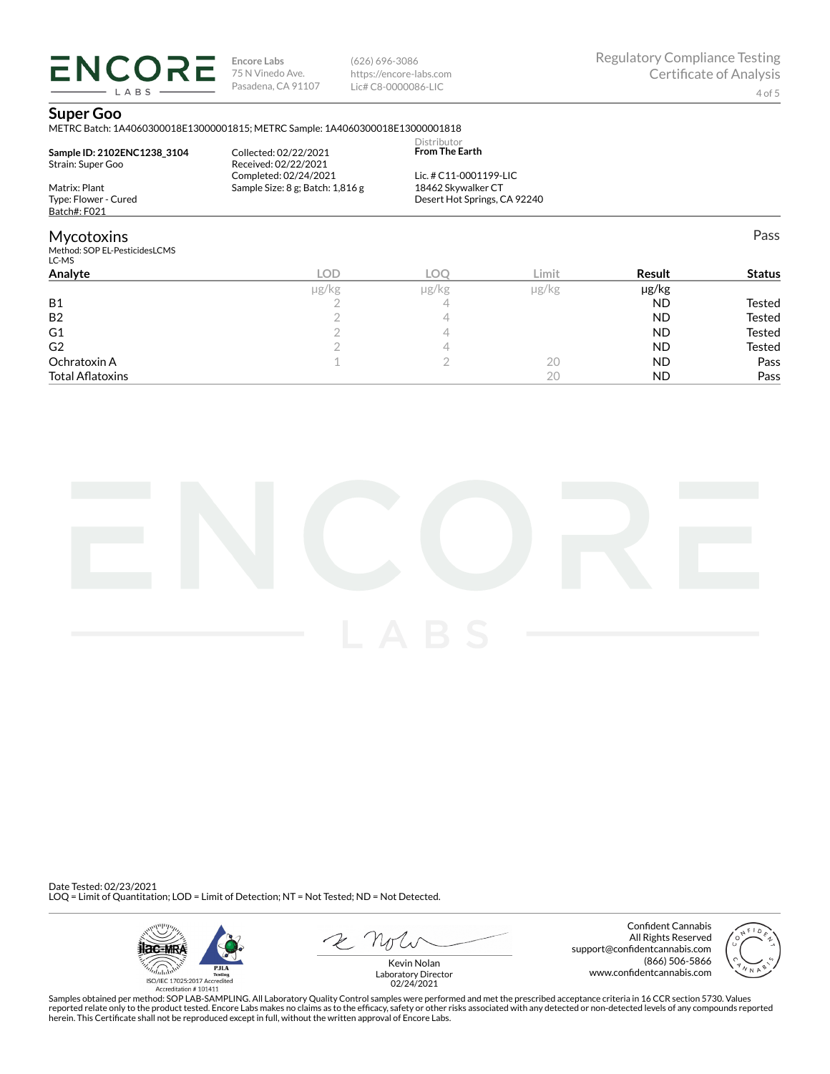**ENCORE Encore Labs** 75 N Vinedo Ave. Pasadena, CA 91107 (626) 696-3086 https://encore-labs.com Lic# C8-0000086-LIC

#### **Super Goo**

LABS

METRC Batch: 1A4060300018E13000001815; METRC Sample: 1A4060300018E13000001818

| Sample ID: 2102ENC1238 3104<br>Strain: Super Goo            | Collected: 02/22/2021<br>Received: 02/22/2021             | Distributor<br><b>From The Earth</b>         |       |               |               |
|-------------------------------------------------------------|-----------------------------------------------------------|----------------------------------------------|-------|---------------|---------------|
| Matrix: Plant                                               | Completed: 02/24/2021<br>Sample Size: 8 g; Batch: 1,816 g | Lic. # C11-0001199-LIC<br>18462 Skywalker CT |       |               |               |
| Type: Flower - Cured<br>Batch#: F021                        |                                                           | Desert Hot Springs, CA 92240                 |       |               |               |
| <b>Mycotoxins</b><br>Method: SOP EL-PesticidesLCMS<br>LC-MS |                                                           |                                              |       |               | Pass          |
| Analyte                                                     | LOD                                                       | LOO                                          | Limit | <b>Result</b> | <b>Status</b> |

|                         |       |            |            |           | .      |
|-------------------------|-------|------------|------------|-----------|--------|
|                         | µg/kg | $\mu$ g/kg | $\mu$ g/kg | µg/kg     |        |
| <b>B1</b>               |       |            |            | <b>ND</b> | Tested |
| <b>B2</b>               |       |            |            | <b>ND</b> | Tested |
| G1                      |       |            |            | <b>ND</b> | Tested |
| G <sub>2</sub>          |       |            |            | <b>ND</b> | Tested |
| Ochratoxin A            |       |            | 20         | <b>ND</b> | Pass   |
| <b>Total Aflatoxins</b> |       |            | 20         | <b>ND</b> | Pass   |



Date Tested: 02/23/2021 LOQ = Limit of Quantitation; LOD = Limit of Detection; NT = Not Tested; ND = Not Detected.



Confident Cannabis All Rights Reserved support@confidentcannabis.com (866) 506-5866 www.confidentcannabis.com



Kevin Nolan Laboratory Director 02/24/2021